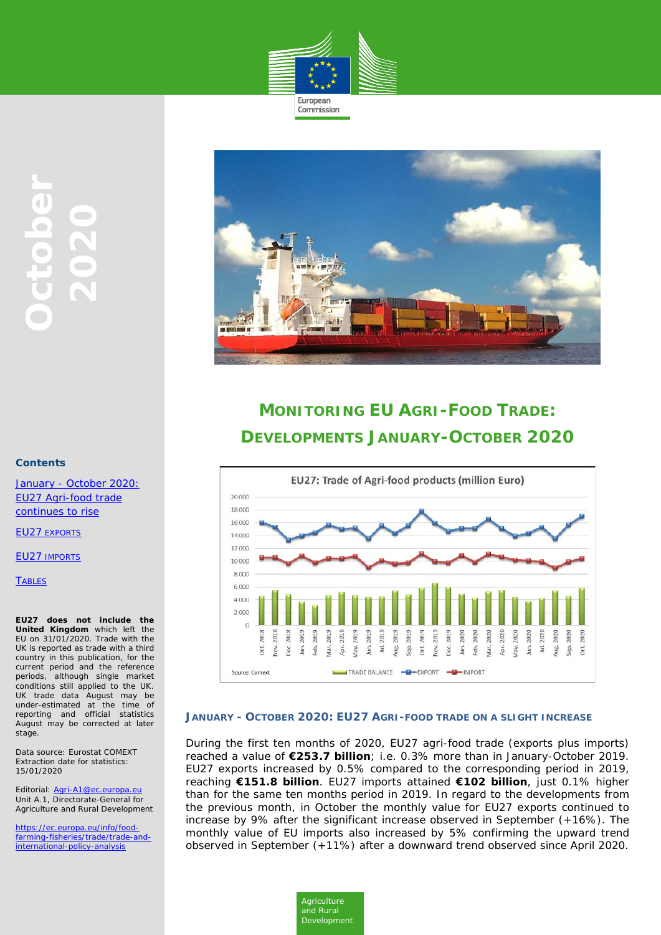



# **MONITORING EU AGRI-FOOD TRADE: DEVELOPMENTS JANUARY-OCTOBER 2020**



#### **JANUARY - OCTOBER 2020: EU27 AGRI-FOOD TRADE ON A SLIGHT INCREASE**

*Agriculture and Rural Development*

During the first ten months of 2020, EU27 agri-food trade (exports plus imports) reached a value of **€253.7 billion**; i.e. 0.3% more than in January-October 2019. EU27 exports increased by 0.5% compared to the corresponding period in 2019, reaching **€151.8 billion**. EU27 imports attained **€102 billion**, just 0.1% higher than for the same ten months period in 2019. In regard to the developments from the previous month, in October the monthly value for EU27 exports continued to increase by 9% after the significant increase observed in September (+16%). The monthly value of EU imports also increased by 5% confirming the upward trend observed in September (+11%) after a downward trend observed since April 2020.

#### **Contents**

January - October 2020: EU27 Agri-food trade continues to rise

EU27 [EXPORTS](#page-1-0)

**EU27 IMPORTS** 

**[TABLES](#page-3-0)** 

**EU27 does not include the United Kingdom** which left the EU on 31/01/2020. Trade with the UK is reported as trade with a third country in this publication, for the current period and the reference periods, although single market conditions still applied to the UK. UK trade data August may be under-estimated at the time of reporting and official statistics August may be corrected at later stage.

Data source: Eurostat COMEXT Extraction date for statistics: 15/01/2020

Editorial: [Agri-A1@ec.europa.eu](mailto:Agri-A1@ec.europa.eu) Unit A.1, Directorate-General for Agriculture and Rural Development

[https://ec.europa.eu/info/food](https://ec.europa.eu/info/food-farming-fisheries/trade/trade-and-international-policy-analysis)[farming-fisheries/trade/trade-and](https://ec.europa.eu/info/food-farming-fisheries/trade/trade-and-international-policy-analysis)[international-policy-analysis](https://ec.europa.eu/info/food-farming-fisheries/trade/trade-and-international-policy-analysis)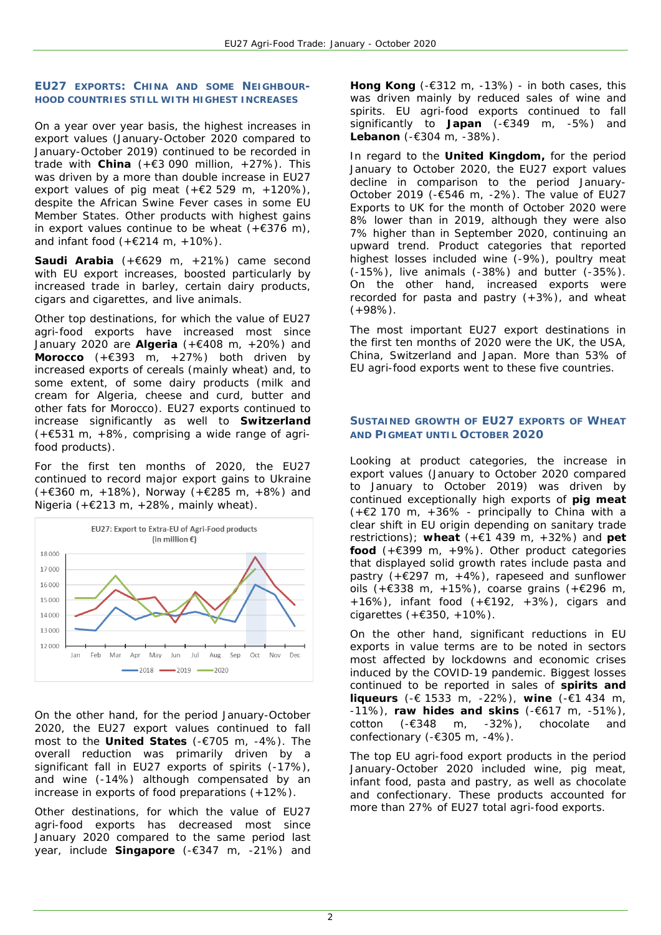## <span id="page-1-0"></span>**EU27 EXPORTS: CHINA AND SOME NEIGHBOUR-HOOD COUNTRIES STILL WITH HIGHEST INCREASES**

On a year over year basis, the highest increases in export values (January-October 2020 compared to January-October 2019) continued to be recorded in trade with **China** ( $+ \in 3$  090 million,  $+27\%$ ). This was driven by a more than double increase in EU27 export values of pig meat  $(+62529 \text{ m}, +120\%)$ . despite the African Swine Fever cases in some EU Member States. Other products with highest gains in export values continue to be wheat  $(+6376)$  m), and infant food  $(+6214 \text{ m}, +10\%)$ .

**Saudi Arabia** (+€629 m, +21%) came second with EU export increases, boosted particularly by increased trade in barley, certain dairy products, cigars and cigarettes, and live animals.

Other top destinations, for which the value of EU27 agri-food exports have increased most since January 2020 are **Algeria** (+€408 m, +20%) and **Morocco** (+€393 m, +27%) both driven by increased exports of cereals (mainly wheat) and, to some extent, of some dairy products (milk and cream for Algeria, cheese and curd, butter and other fats for Morocco). EU27 exports continued to increase significantly as well to **Switzerland** (+€531 m, +8%, comprising a wide range of agrifood products).

For the first ten months of 2020, the EU27 continued to record major export gains to Ukraine (+€360 m, +18%), Norway (+€285 m, +8%) and Nigeria (+ $E$ 213 m, +28%, mainly wheat).



On the other hand, for the period January-October 2020, the EU27 export values continued to fall most to the **United States** (-€705 m, -4%). The overall reduction was primarily driven by a significant fall in EU27 exports of spirits (-17%), and wine (-14%) although compensated by an increase in exports of food preparations (+12%).

Other destinations, for which the value of EU27 agri-food exports has decreased most since January 2020 compared to the same period last year, include **Singapore** (-€347 m, -21%) and **Hong Kong** (-€312 m, -13%) - in both cases, this was driven mainly by reduced sales of wine and spirits. EU agri-food exports continued to fall significantly to **Japan** (-€349 m, -5%) and **Lebanon** (-€304 m, -38%).

In regard to the **United Kingdom,** for the period January to October 2020, the EU27 export values decline in comparison to the period January-October 2019 (-€546 m, -2%). The value of EU27 Exports to UK for the month of October 2020 were 8% lower than in 2019, although they were also 7% higher than in September 2020, continuing an upward trend. Product categories that reported highest losses included wine (-9%), poultry meat (-15%), live animals (-38%) and butter (-35%). On the other hand, increased exports were recorded for pasta and pastry (+3%), and wheat  $(+98%)$ .

The most important EU27 export destinations in the first ten months of 2020 were the UK, the USA, China, Switzerland and Japan. More than 53% of EU agri-food exports went to these five countries.

## **SUSTAINED GROWTH OF EU27 EXPORTS OF WHEAT AND PIGMEAT UNTIL OCTOBER 2020**

Looking at product categories, the increase in export values (January to October 2020 compared to January to October 2019) was driven by continued exceptionally high exports of **pig meat** (+€2 170 m, +36% - principally to China with a clear shift in EU origin depending on sanitary trade restrictions); **wheat** (+€1 439 m, +32%) and **pet food** (+€399 m, +9%). Other product categories that displayed solid growth rates include pasta and pastry  $(+\epsilon)297 \text{ m}$ ,  $+4\%)$ , rapeseed and sunflower oils (+€338 m, +15%), coarse grains (+€296 m, +16%), infant food  $(+\epsilon 192, +3\%)$ , cigars and cigarettes (+€350, +10%).

On the other hand, significant reductions in EU exports in value terms are to be noted in sectors most affected by lockdowns and economic crises induced by the COVID-19 pandemic. Biggest losses continued to be reported in sales of **spirits and liqueurs** (-€ 1533 m, -22%), **wine** (-€1 434 m, -11%), **raw hides and skins** (-€617 m, -51%), cotton (-€348 m, -32%), chocolate and confectionary (-€305 m, -4%).

The top EU agri-food export products in the period January-October 2020 included wine, pig meat, infant food, pasta and pastry, as well as chocolate and confectionary. These products accounted for more than 27% of EU27 total agri-food exports.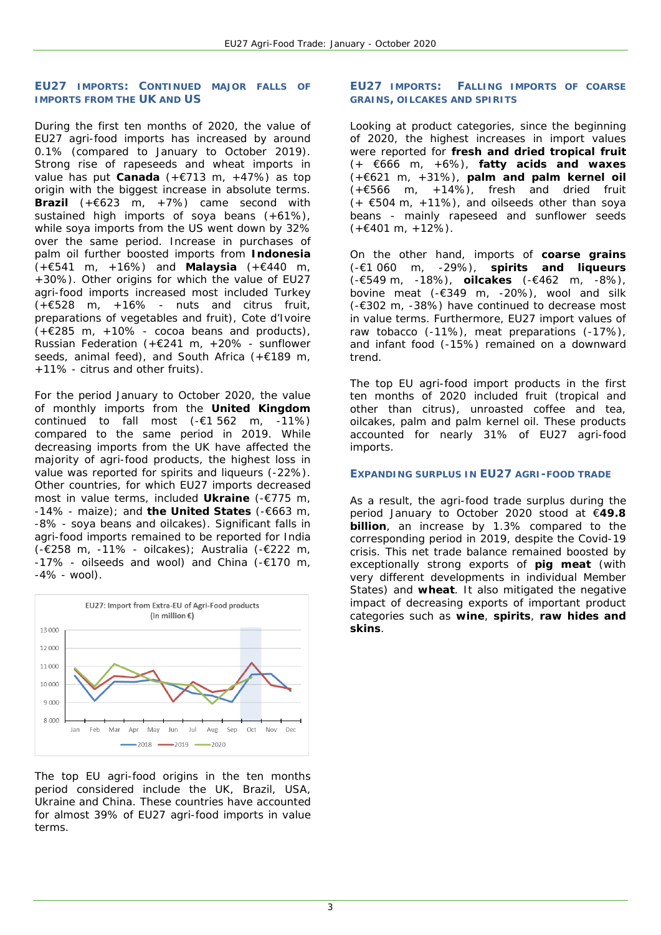#### **EU27 IMPORTS: CONTINUED MAJOR FALLS OF IMPORTS FROM THE UK AND US**

During the first ten months of 2020, the value of EU27 agri-food imports has increased by around 0.1% (compared to January to October 2019). Strong rise of rapeseeds and wheat imports in value has put **Canada** (+€713 m, +47%) as top origin with the biggest increase in absolute terms. **Brazil** (+€623 m, +7%) came second with sustained high imports of soya beans (+61%), while soya imports from the US went down by 32% over the same period. Increase in purchases of palm oil further boosted imports from **Indonesia** (+€541 m, +16%) and **Malaysia** (+€440 m, +30%). Other origins for which the value of EU27 agri-food imports increased most included Turkey  $(+6528 \text{ m. } +16\%$  - nuts and citrus fruit, preparations of vegetables and fruit), Cote d'Ivoire (+€285 m, +10% - cocoa beans and products), Russian Federation (+€241 m, +20% - sunflower seeds, animal feed), and South Africa (+€189 m, +11% - citrus and other fruits).

For the period January to October 2020, the value of monthly imports from the **United Kingdom** continued to fall most  $(-\epsilon 1\ 562 \ m, -11\%)$ compared to the same period in 2019. While decreasing imports from the UK have affected the majority of agri-food products, the highest loss in value was reported for spirits and liqueurs (-22%). Other countries, for which EU27 imports decreased most in value terms, included **Ukraine** (-€775 m, -14% - maize); and **the United States** (-€663 m, -8% - soya beans and oilcakes). Significant falls in agri-food imports remained to be reported for India (-€258 m, -11% - oilcakes); Australia (-€222 m,  $-17\%$  - oilseeds and wool) and China (- $\epsilon$ 170 m,  $-4\% -$  wool).



The top EU agri-food origins in the ten months period considered include the UK, Brazil, USA, Ukraine and China. These countries have accounted for almost 39% of EU27 agri-food imports in value terms

## **EU27 IMPORTS: FALLING IMPORTS OF COARSE GRAINS, OILCAKES AND SPIRITS**

Looking at product categories, since the beginning of 2020, the highest increases in import values were reported for **fresh and dried tropical fruit** (+ €666 m, +6%), **fatty acids and waxes** (+€621 m, +31%), **palm and palm kernel oil** (+€566 m, +14%), fresh and dried fruit  $(+ 6504 \text{ m. } +11\%)$ , and oilseeds other than sova beans - mainly rapeseed and sunflower seeds  $(+6401 m, +12\%)$ .

On the other hand, imports of **coarse grains** (-€1 060 m, -29%), **spirits and liqueurs** (-€549 m, -18%), **oilcakes** (-€462 m, -8%), bovine meat (-€349 m, -20%), wool and silk (-€302 m, -38%) have continued to decrease most in value terms. Furthermore, EU27 import values of raw tobacco (-11%), meat preparations (-17%), and infant food (-15%) remained on a downward trend.

The top EU agri-food import products in the first ten months of 2020 included fruit (tropical and other than citrus), unroasted coffee and tea, oilcakes, palm and palm kernel oil. These products accounted for nearly 31% of EU27 agri-food imports.

## **EXPANDING SURPLUS IN EU27 AGRI-FOOD TRADE**

As a result, the agri-food trade surplus during the period January to October 2020 stood at €**49.8 billion**, an increase by 1.3% compared to the corresponding period in 2019, despite the Covid-19 crisis. This net trade balance remained boosted by exceptionally strong exports of **pig meat** (with very different developments in individual Member States) and **wheat**. It also mitigated the negative impact of decreasing exports of important product categories such as **wine**, **spirits**, **raw hides and skins**.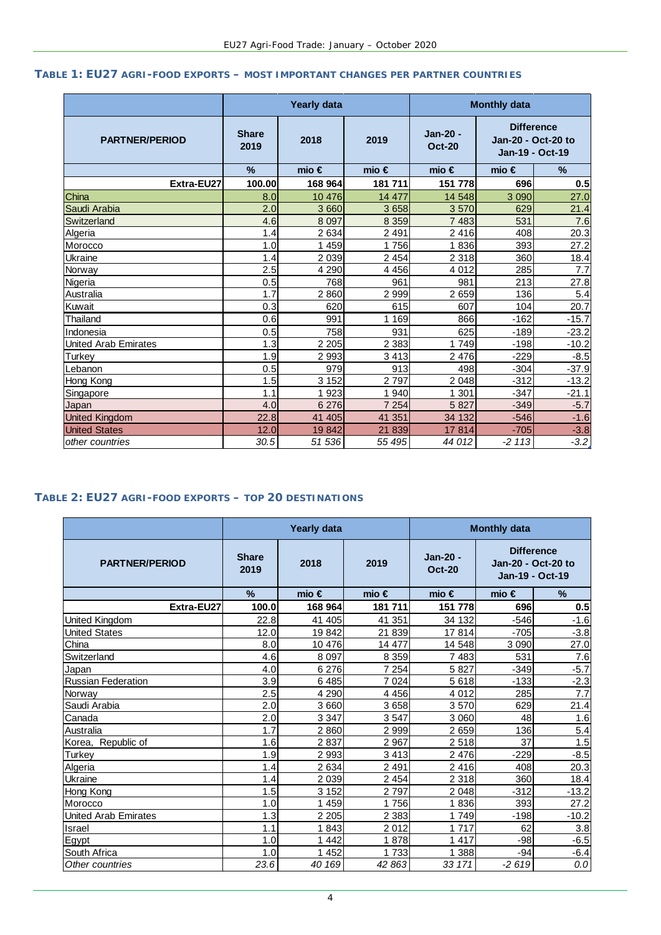# <span id="page-3-0"></span>**TABLE 1: EU27 AGRI-FOOD EXPORTS – MOST IMPORTANT CHANGES PER PARTNER COUNTRIES**

|                             |                      | <b>Yearly data</b> |                | <b>Monthly data</b>       |                                                            |         |  |
|-----------------------------|----------------------|--------------------|----------------|---------------------------|------------------------------------------------------------|---------|--|
| <b>PARTNER/PERIOD</b>       | <b>Share</b><br>2019 | 2018               | 2019           | Jan-20 -<br><b>Oct-20</b> | <b>Difference</b><br>Jan-20 - Oct-20 to<br>Jan-19 - Oct-19 |         |  |
|                             | $\frac{9}{6}$        | mio $\epsilon$     | mio $\epsilon$ | mio $\epsilon$            | mio $\in$                                                  | %       |  |
| Extra-EU27                  | 100.00               | 168 964            | 181 711        | 151 778                   | 696                                                        | 0.5     |  |
| China                       | 8.0                  | 10 476             | 14 477         | 14 548                    | 3 0 9 0                                                    | 27.0    |  |
| Saudi Arabia                | 2.0                  | 3 6 6 0            | 3 6 5 8        | 3570                      | 629                                                        | 21.4    |  |
| Switzerland                 | 4.6                  | 8 0 9 7            | 8 3 5 9        | 7 4 8 3                   | 531                                                        | 7.6     |  |
| Algeria                     | 1.4                  | 2 6 3 4            | 2 4 9 1        | 2 4 1 6                   | 408                                                        | 20.3    |  |
| Morocco                     | 1.0                  | 1 459              | 1756           | 1836                      | 393                                                        | 27.2    |  |
| <b>Ukraine</b>              | 1.4                  | 2 0 3 9            | 2 4 5 4        | 2 3 18                    | 360                                                        | 18.4    |  |
| Norway                      | 2.5                  | 4 2 9 0            | 4 4 5 6        | 4 0 1 2                   | 285                                                        | 7.7     |  |
| Nigeria                     | 0.5                  | 768                | 961            | 981                       | 213                                                        | 27.8    |  |
| Australia                   | 1.7                  | 2860               | 2 9 9 9        | 2659                      | 136                                                        | 5.4     |  |
| Kuwait                      | 0.3                  | 620                | 615            | 607                       | 104                                                        | 20.7    |  |
| <b>Thailand</b>             | 0.6                  | 991                | 1 1 6 9        | 866                       | $-162$                                                     | $-15.7$ |  |
| Indonesia                   | 0.5                  | 758                | 931            | 625                       | $-189$                                                     | $-23.2$ |  |
| <b>United Arab Emirates</b> | 1.3                  | 2 2 0 5            | 2 3 8 3        | 1749                      | $-198$                                                     | $-10.2$ |  |
| <b>Turkey</b>               | 1.9                  | 2 9 9 3            | 3 4 1 3        | 2 4 7 6                   | $-229$                                                     | $-8.5$  |  |
| Lebanon                     | 0.5                  | 979                | 913            | 498                       | $-304$                                                     | $-37.9$ |  |
| Hong Kong                   | 1.5                  | 3 1 5 2            | 2797           | 2 0 4 8                   | $-312$                                                     | $-13.2$ |  |
| Singapore                   | 1.1                  | 1923               | 1 940          | 1 301                     | $-347$                                                     | $-21.1$ |  |
| Japan                       | 4.0                  | 6 2 7 6            | 7 2 5 4        | 5827                      | $-349$                                                     | $-5.7$  |  |
| <b>United Kingdom</b>       | 22.8                 | 41 405             | 41 351         | 34 132                    | $-546$                                                     | $-1.6$  |  |
| <b>United States</b>        | 12.0                 | 19842              | 21 839         | 17814                     | $-705$                                                     | $-3.8$  |  |
| other countries             | 30.5                 | 51 536             | 55 495         | 44 012                    | $-2113$                                                    | $-3.2$  |  |

# **TABLE 2: EU27 AGRI-FOOD EXPORTS – TOP 20 DESTINATIONS**

|                             |                      | <b>Yearly data</b> |                | <b>Monthly data</b>       |                                                            |         |  |
|-----------------------------|----------------------|--------------------|----------------|---------------------------|------------------------------------------------------------|---------|--|
| <b>PARTNER/PERIOD</b>       | <b>Share</b><br>2019 | 2018               | 2019           | Jan-20 -<br><b>Oct-20</b> | <b>Difference</b><br>Jan-20 - Oct-20 to<br>Jan-19 - Oct-19 |         |  |
|                             | $\%$                 | mio $\epsilon$     | mio $\epsilon$ | mio $\epsilon$            | mio $\epsilon$                                             | $\%$    |  |
| Extra-EU27                  | 100.0                | 168 964            | 181711         | 151 778                   | 696                                                        | 0.5     |  |
| United Kingdom              | 22.8                 | 41 405             | 41 351         | 34 132                    | $-546$                                                     | $-1.6$  |  |
| <b>United States</b>        | 12.0                 | 19842              | 21 839         | 17814                     | $-705$                                                     | $-3.8$  |  |
| China                       | 8.0                  | 10 476             | 14 477         | 14 548                    | 3 0 9 0                                                    | 27.0    |  |
| Switzerland                 | 4.6                  | 8 0 9 7            | 8 3 5 9        | 7483                      | 531                                                        | 7.6     |  |
| Japan                       | 4.0                  | 6 276              | 7 2 5 4        | 5827                      | $-349$                                                     | $-5.7$  |  |
| <b>Russian Federation</b>   | 3.9                  | 6 4 8 5            | 7 0 24         | 5 6 18                    | $-133$                                                     | $-2.3$  |  |
| Norway                      | 2.5                  | 4 2 9 0            | 4 4 5 6        | 4 0 1 2                   | 285                                                        | 7.7     |  |
| Saudi Arabia                | 2.0                  | 3 6 6 0            | 3 6 5 8        | 3 570                     | 629                                                        | 21.4    |  |
| Canada                      | 2.0                  | 3 3 4 7            | 3547           | 3 060                     | 48                                                         | 1.6     |  |
| Australia                   | 1.7                  | 2860               | 2 9 9 9        | 2 6 5 9                   | 136                                                        | 5.4     |  |
| Korea, Republic of          | 1.6                  | 2837               | 2 9 6 7        | 2 518                     | 37                                                         | 1.5     |  |
| Turkey                      | 1.9                  | 2 9 9 3            | 3 4 1 3        | 2 4 7 6                   | $-229$                                                     | $-8.5$  |  |
| Algeria                     | 1.4                  | 2 6 3 4            | 2 4 9 1        | 2 4 1 6                   | 408                                                        | 20.3    |  |
| Ukraine                     | 1.4                  | 2 0 3 9            | 2 4 5 4        | 2 3 1 8                   | 360                                                        | 18.4    |  |
| Hong Kong                   | 1.5                  | 3 1 5 2            | 2797           | 2 0 4 8                   | $-312$                                                     | $-13.2$ |  |
| Morocco                     | 1.0                  | 459                | 1756           | 1836                      | 393                                                        | 27.2    |  |
| <b>United Arab Emirates</b> | 1.3                  | 2 2 0 5            | 2 3 8 3        | 1749                      | $-198$                                                     | $-10.2$ |  |
| Israel                      | 1.1                  | 1843               | 2012           | 1 7 1 7                   | 62                                                         | 3.8     |  |
| Egypt                       | 1.0                  | 1 4 4 2            | 1878           | 1 4 1 7                   | $-98$                                                      | $-6.5$  |  |
| South Africa                | 1.0                  | 452                | 1 733          | 1 388                     | $-94$                                                      | $-6.4$  |  |
| Other countries             | 23.6                 | 40 169             | 42 863         | 33 171                    | $-2619$                                                    | 0.0     |  |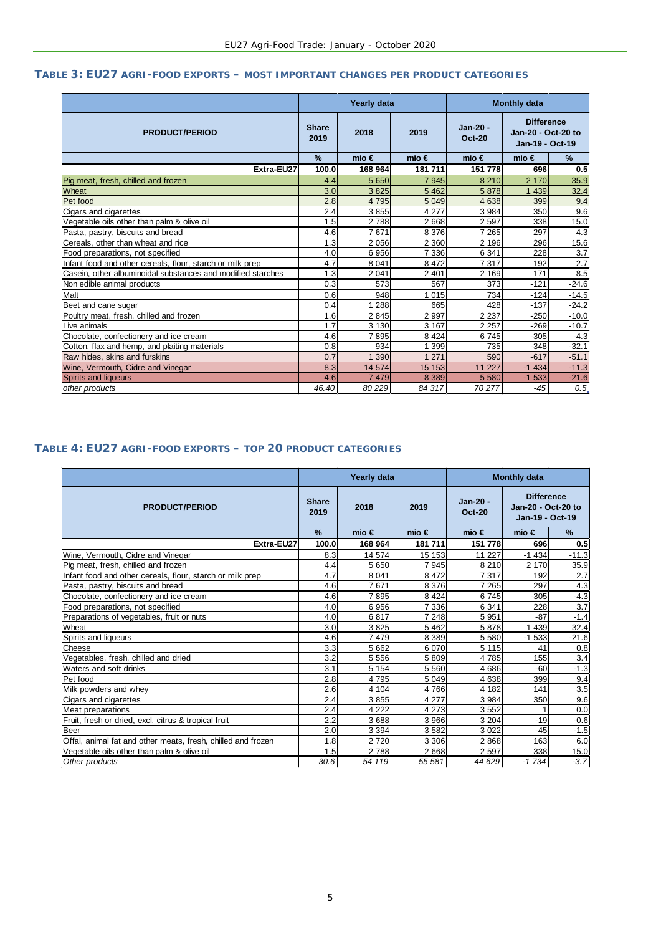#### **TABLE 3: EU27 AGRI-FOOD EXPORTS – MOST IMPORTANT CHANGES PER PRODUCT CATEGORIES**

|                                                             | Yearly data<br><b>Monthly data</b> |                |           |                           |                                                            |         |
|-------------------------------------------------------------|------------------------------------|----------------|-----------|---------------------------|------------------------------------------------------------|---------|
| <b>PRODUCT/PERIOD</b>                                       | <b>Share</b><br>2019               | 2018           | 2019      | Jan-20 -<br><b>Oct-20</b> | <b>Difference</b><br>Jan-20 - Oct-20 to<br>Jan-19 - Oct-19 |         |
|                                                             | $\frac{9}{6}$                      | mio $\epsilon$ | mio $\in$ | mio $\epsilon$            | mio $\in$                                                  | %       |
| Extra-EU27                                                  | 100.0                              | 168 964        | 181 711   | 151 778                   | 696                                                        | 0.5     |
| Pig meat, fresh, chilled and frozen                         | 4.4                                | 5 6 5 0        | 7 9 4 5   | 8 2 1 0                   | 2 170                                                      | 35.9    |
| Wheat                                                       | 3.0                                | 3825           | 5 4 6 2   | 5878                      | 1 4 3 9                                                    | 32.4    |
| Pet food                                                    | 2.8                                | 4 7 9 5        | 5 0 4 9   | 4 6 38                    | 399                                                        | 9.4     |
| Cigars and cigarettes                                       | 2.4                                | 3 8 5 5        | 4 277     | 3 9 8 4                   | 350                                                        | 9.6     |
| Vegetable oils other than palm & olive oil                  | 1.5                                | 2788           | 2668      | 2 5 9 7                   | 338                                                        | 15.0    |
| Pasta, pastry, biscuits and bread                           | 4.6                                | 7671           | 8 3 7 6   | 7 2 6 5                   | 297                                                        | 4.3     |
| Cereals, other than wheat and rice                          | 1.3                                | 2 0 5 6        | 2 3 6 0   | 2 1 9 6                   | 296                                                        | 15.6    |
| Food preparations, not specified                            | 4.0                                | 6956           | 7 3 3 6   | 6 3 4 1                   | 228                                                        | 3.7     |
| Infant food and other cereals, flour, starch or milk prep   | 4.7                                | 8 0 4 1        | 8 4 7 2   | 7317                      | 192                                                        | 2.7     |
| Casein, other albuminoidal substances and modified starches | 1.3                                | 2 0 4 1        | 2 4 0 1   | 2 1 6 9                   | 171                                                        | 8.5     |
| Non edible animal products                                  | 0.3                                | 573            | 567       | 373                       | $-121$                                                     | $-24.6$ |
| Malt                                                        | 0.6                                | 948            | 1 0 1 5   | 734                       | $-124$                                                     | $-14.5$ |
| Beet and cane sugar                                         | 0.4                                | 1 2 8 8        | 665       | 428                       | $-137$                                                     | $-24.2$ |
| Poultry meat, fresh, chilled and frozen                     | 1.6                                | 2845           | 2 9 9 7   | 2 2 3 7                   | $-250$                                                     | $-10.0$ |
| Live animals                                                | 1.7                                | 3 1 3 0        | 3 1 6 7   | 2 2 5 7                   | $-269$                                                     | $-10.7$ |
| Chocolate, confectionery and ice cream                      | 4.6                                | 7895           | 8 4 2 4   | 6745                      | $-305$                                                     | $-4.3$  |
| Cotton, flax and hemp, and plaiting materials               | 0.8                                | 934            | 1 399     | 735                       | $-348$                                                     | $-32.1$ |
| Raw hides, skins and furskins                               | 0.7                                | 1 3 9 0        | 1 271     | 590                       | $-617$                                                     | $-51.1$ |
| Wine, Vermouth, Cidre and Vinegar                           | 8.3                                | 14 574         | 15 153    | 11 227                    | $-1434$                                                    | $-11.3$ |
| Spirits and liqueurs                                        | 4.6                                | 7 4 7 9        | 8 3 8 9   | 5 5 8 0                   | $-1533$                                                    | $-21.6$ |
| other products                                              | 46.40                              | 80 229         | 84 317    | 70 277                    | $-45$                                                      | 0.5     |

# **TABLE 4: EU27 AGRI-FOOD EXPORTS – TOP 20 PRODUCT CATEGORIES**

|                                                              | Yearly data          |                |                | <b>Monthly data</b>       |                                                            |                  |  |
|--------------------------------------------------------------|----------------------|----------------|----------------|---------------------------|------------------------------------------------------------|------------------|--|
| <b>PRODUCT/PERIOD</b>                                        | <b>Share</b><br>2019 | 2018           | 2019           | Jan-20 -<br><b>Oct-20</b> | <b>Difference</b><br>Jan-20 - Oct-20 to<br>Jan-19 - Oct-19 |                  |  |
|                                                              | $\%$                 | mio $\epsilon$ | mio $\epsilon$ | mio $\in$                 | mio $\in$                                                  | $\%$             |  |
| Extra-EU27                                                   | 100.0                | 168 964        | 181 711        | 151 778                   | 696                                                        | 0.5              |  |
| Wine, Vermouth, Cidre and Vinegar                            | 8.3                  | 14 574         | 15 153         | 11 227                    | $-1434$                                                    | $-11.3$          |  |
| Pig meat, fresh, chilled and frozen                          | 4.4                  | 5 6 5 0        | 7945           | 8 2 1 0                   | 2 170                                                      | 35.9             |  |
| Infant food and other cereals, flour, starch or milk prep    | 4.7                  | 8 0 4 1        | 8 4 7 2        | 7317                      | 192                                                        | 2.7              |  |
| Pasta, pastry, biscuits and bread                            | 4.6                  | 7671           | 8 3 7 6        | 7 2 6 5                   | 297                                                        | 4.3              |  |
| Chocolate, confectionery and ice cream                       | 4.6                  | 7895           | 8 4 2 4        | 6745                      | $-305$                                                     | $-4.3$           |  |
| Food preparations, not specified                             | 4.0                  | 6 9 5 6        | 7 3 3 6        | 6 3 4 1                   | 228                                                        | 3.7              |  |
| Preparations of vegetables, fruit or nuts                    | 4.0                  | 6817           | 7 2 4 8        | 5 9 5 1                   | $-87$                                                      | $-1.4$           |  |
| Wheat                                                        | 3.0                  | 3825           | 5 4 6 2        | 5878                      | 1 4 3 9                                                    | 32.4             |  |
| Spirits and liqueurs                                         | 4.6                  | 7479           | 8 3 8 9        | 5 5 8 0                   | $-1533$                                                    | $-21.6$          |  |
| Cheese                                                       | 3.3                  | 5 6 6 2        | 6070           | 5 1 1 5                   | 41                                                         | 0.8              |  |
| Vegetables, fresh, chilled and dried                         | 3.2                  | 5 5 5 6        | 5809           | 4785                      | 155                                                        | $\overline{3.4}$ |  |
| Waters and soft drinks                                       | 3.1                  | 5 1 5 4        | 5 5 6 0        | 4686                      | $-60$                                                      | $-1.3$           |  |
| Pet food                                                     | 2.8                  | 4795           | 5 0 4 9        | 4638                      | 399                                                        | 9.4              |  |
| Milk powders and whey                                        | 2.6                  | 4 104          | 4766           | 4 1 8 2                   | 141                                                        | 3.5              |  |
| Cigars and cigarettes                                        | 2.4                  | 3855           | 4 2 7 7        | 3 9 8 4                   | 350                                                        | 9.6              |  |
| Meat preparations                                            | 2.4                  | 4 2 2 2        | 4 2 7 3        | 3552                      |                                                            | 0.0              |  |
| Fruit, fresh or dried, excl. citrus & tropical fruit         | 2.2                  | 3688           | 3 9 6 6        | 3 2 0 4                   | $-19$                                                      | $-0.6$           |  |
| Beer                                                         | 2.0                  | 3 3 9 4        | 3582           | 3 0 2 2                   | $-45$                                                      | $-1.5$           |  |
| Offal, animal fat and other meats, fresh, chilled and frozen | 1.8                  | 2 7 2 0        | 3 3 0 6        | 2868                      | 163                                                        | 6.0              |  |
| Vegetable oils other than palm & olive oil                   | 1.5                  | 2788           | 2668           | 2597                      | 338                                                        | 15.0             |  |
| Other products                                               | 30.6                 | 54 119         | 55 581         | 44 629                    | $-1734$                                                    | $-3.7$           |  |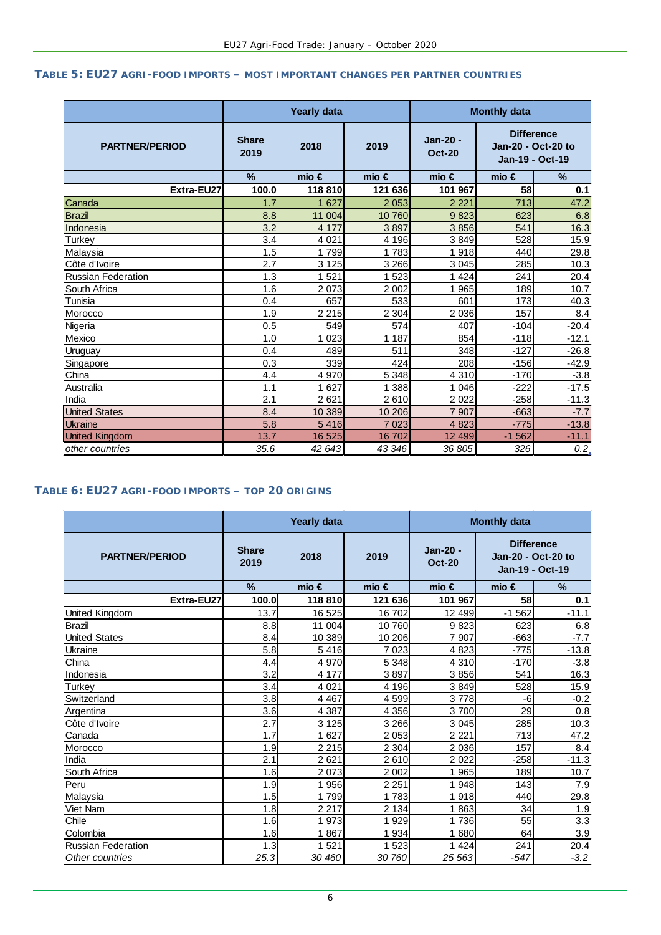# **TABLE 5: EU27 AGRI-FOOD IMPORTS – MOST IMPORTANT CHANGES PER PARTNER COUNTRIES**

|                           |                      | <b>Yearly data</b> |                | <b>Monthly data</b>       |                                                            |               |  |
|---------------------------|----------------------|--------------------|----------------|---------------------------|------------------------------------------------------------|---------------|--|
| <b>PARTNER/PERIOD</b>     | <b>Share</b><br>2019 | 2018               | 2019           | Jan-20 -<br><b>Oct-20</b> | <b>Difference</b><br>Jan-20 - Oct-20 to<br>Jan-19 - Oct-19 |               |  |
|                           | %                    | mio $\epsilon$     | mio $\epsilon$ | mio $\epsilon$            | mio $\epsilon$                                             | $\frac{9}{6}$ |  |
| Extra-EU27                | 100.0                | 118 810            | 121 636        | 101 967                   | 58                                                         | 0.1           |  |
| Canada                    | 1.7                  | 1 627              | 2 0 5 3        | 2 2 2 1                   | 713                                                        | 47.2          |  |
| <b>Brazil</b>             | 8.8                  | 11 004             | 10 760         | 9823                      | 623                                                        | 6.8           |  |
| Indonesia                 | 3.2                  | 4 1 7 7            | 3897           | 3856                      | 541                                                        | 16.3          |  |
| Turkey                    | 3.4                  | 4 0 21             | 4 196          | 3849                      | 528                                                        | 15.9          |  |
| Malaysia                  | 1.5                  | 1799               | 1783           | 1918                      | 440                                                        | 29.8          |  |
| Côte d'Ivoire             | 2.7                  | 3 1 2 5            | 3 2 6 6        | 3 0 4 5                   | 285                                                        | 10.3          |  |
| <b>Russian Federation</b> | 1.3                  | 1 5 2 1            | 1 5 2 3        | 1 4 2 4                   | 241                                                        | 20.4          |  |
| South Africa              | 1.6                  | 2 0 7 3            | 2 0 0 2        | 965                       | 189                                                        | 10.7          |  |
| Tunisia                   | 0.4                  | 657                | 533            | 601                       | 173                                                        | 40.3          |  |
| Morocco                   | 1.9                  | 2 2 1 5            | 2 3 0 4        | 2 0 3 6                   | 157                                                        | 8.4           |  |
| Nigeria                   | 0.5                  | 549                | 574            | 407                       | $-104$                                                     | $-20.4$       |  |
| Mexico                    | 1.0                  | 1 0 2 3            | 1 1 8 7        | 854                       | $-118$                                                     | $-12.1$       |  |
| <b>Uruguay</b>            | 0.4                  | 489                | 511            | 348                       | $-127$                                                     | $-26.8$       |  |
| Singapore                 | 0.3                  | 339                | 424            | 208                       | $-156$                                                     | $-42.9$       |  |
| China                     | 4.4                  | 4 9 7 0            | 5 3 4 8        | 4 3 1 0                   | $-170$                                                     | $-3.8$        |  |
| Australia                 | 1.1                  | 1 6 2 7            | 1 388          | 1 0 4 6                   | $-222$                                                     | $-17.5$       |  |
| India                     | 2.1                  | 2 6 21             | 2610           | 2 0 2 2                   | $-258$                                                     | $-11.3$       |  |
| <b>United States</b>      | 8.4                  | 10 389             | 10 206         | 7 907                     | $-663$                                                     | $-7.7$        |  |
| <b>Ukraine</b>            | 5.8                  | 5416               | 7 0 23         | 4 8 2 3                   | $-775$                                                     | $-13.8$       |  |
| <b>United Kingdom</b>     | 13.7                 | 16 525             | 16 702         | 12 4 9 9                  | $-1562$                                                    | $-11.1$       |  |
| other countries           | 35.6                 | 42 643             | 43 346         | 36 805                    | 326                                                        | 0.2           |  |

## **TABLE 6: EU27 AGRI-FOOD IMPORTS – TOP 20 ORIGINS**

|                           |                      | <b>Yearly data</b> |                | <b>Monthly data</b>       |                                                            |         |  |
|---------------------------|----------------------|--------------------|----------------|---------------------------|------------------------------------------------------------|---------|--|
| <b>PARTNER/PERIOD</b>     | <b>Share</b><br>2019 | 2018               | 2019           | Jan-20 -<br><b>Oct-20</b> | <b>Difference</b><br>Jan-20 - Oct-20 to<br>Jan-19 - Oct-19 |         |  |
|                           | $\%$                 | mio $\epsilon$     | mio $\epsilon$ | mio $\epsilon$            | mio $\epsilon$                                             | $\%$    |  |
| Extra-EU27                | 100.0                | 118 810            | 121 636        | 101 967                   | 58                                                         | 0.1     |  |
| United Kingdom            | 13.7                 | 16 525             | 16 702         | 12 499                    | $-1562$                                                    | $-11.1$ |  |
| <b>Brazil</b>             | 8.8                  | 11 004             | 10760          | 9823                      | 623                                                        | 6.8     |  |
| <b>United States</b>      | 8.4                  | 10 389             | 10 206         | 7 907                     | $-663$                                                     | $-7.7$  |  |
| Ukraine                   | 5.8                  | 5416               | 7 0 2 3        | 4823                      | $-775$                                                     | $-13.8$ |  |
| China                     | 4.4                  | 4 970              | 5 3 4 8        | 4 3 1 0                   | $-170$                                                     | $-3.8$  |  |
| Indonesia                 | 3.2                  | 4 177              | 3897           | 3856                      | 541                                                        | 16.3    |  |
| Turkey                    | 3.4                  | 4 0 21             | 4 1 9 6        | 3849                      | 528                                                        | 15.9    |  |
| Switzerland               | 3.8                  | 4 4 6 7            | 4 5 9 9        | 3778                      | -6                                                         | $-0.2$  |  |
| Argentina                 | 3.6                  | 4 3 8 7            | 4 3 5 6        | 3700                      | 29                                                         | 0.8     |  |
| Côte d'Ivoire             | 2.7                  | 3 1 2 5            | 3 2 6 6        | 3 0 4 5                   | 285                                                        | 10.3    |  |
| Canada                    | 1.7                  | 1 627              | 2 0 5 3        | 2 2 2 1                   | 713                                                        | 47.2    |  |
| Morocco                   | 1.9                  | 2 2 1 5            | 2 3 0 4        | 2 0 3 6                   | 157                                                        | 8.4     |  |
| India                     | 2.1                  | 2621               | 2610           | 2 0 2 2                   | $-258$                                                     | $-11.3$ |  |
| South Africa              | 1.6                  | 2 0 7 3            | 2 0 0 2        | 1 9 6 5                   | 189                                                        | 10.7    |  |
| Peru                      | 1.9                  | 1 956              | 2 2 5 1        | 1948                      | 143                                                        | 7.9     |  |
| Malaysia                  | 1.5                  | 1799               | 1783           | 1918                      | 440                                                        | 29.8    |  |
| Viet Nam                  | 1.8                  | 2 2 1 7            | 2 1 3 4        | 1863                      | 34                                                         | 1.9     |  |
| Chile                     | 1.6                  | 1973               | 1929           | 1736                      | 55                                                         | 3.3     |  |
| Colombia                  | 1.6                  | 1867               | 1 9 3 4        | 1680                      | 64                                                         | 3.9     |  |
| <b>Russian Federation</b> | 1.3                  | 521                | 1 523          | 1 4 2 4                   | 241                                                        | 20.4    |  |
| Other countries           | 25.3                 | 30 460             | 30 760         | 25 563                    | $-547$                                                     | $-3.2$  |  |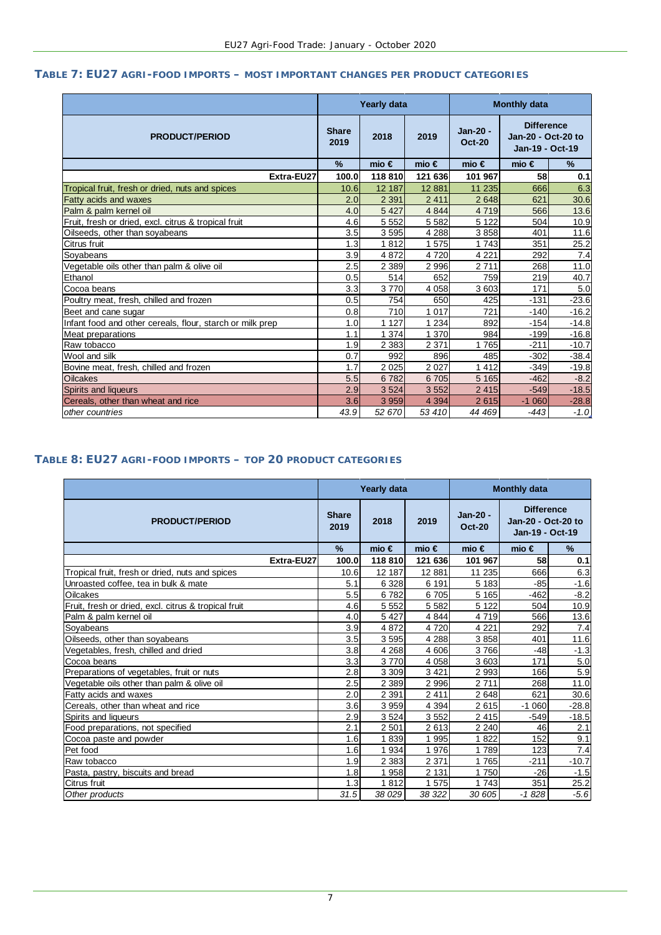# **TABLE 7: EU27 AGRI-FOOD IMPORTS – MOST IMPORTANT CHANGES PER PRODUCT CATEGORIES**

|                                                           |                      | Yearly data        |           | <b>Monthly data</b>       |                                                            |               |  |
|-----------------------------------------------------------|----------------------|--------------------|-----------|---------------------------|------------------------------------------------------------|---------------|--|
| <b>PRODUCT/PERIOD</b>                                     | <b>Share</b><br>2019 | 2018               | 2019      | Jan-20 -<br><b>Oct-20</b> | <b>Difference</b><br>Jan-20 - Oct-20 to<br>Jan-19 - Oct-19 |               |  |
|                                                           | $\frac{9}{6}$        | mio $\in$          | mio $\in$ | mio $\in$                 | mio $\epsilon$                                             | $\frac{9}{6}$ |  |
| Extra-EU27                                                | 100.0                | 118810             | 121 636   | 101 967                   | 58                                                         | 0.1           |  |
| Tropical fruit, fresh or dried, nuts and spices           | 10.6                 | 12 187             | 12 8 81   | 11 235                    | 666                                                        | 6.3           |  |
| Fatty acids and waxes                                     | 2.0                  | 2 3 9 1            | 2 4 1 1   | 2648                      | 621                                                        | 30.6          |  |
| Palm & palm kernel oil                                    | 4.0                  | 5 4 2 7            | 4 8 4 4   | 4719                      | 566                                                        | 13.6          |  |
| Fruit, fresh or dried, excl. citrus & tropical fruit      | 4.6                  | 5 5 5 2            | 5 5 8 2   | 5 1 2 2                   | 504                                                        | 10.9          |  |
| Oilseeds, other than soyabeans                            | 3.5                  | 3595               | 4 2 8 8   | 3858                      | 401                                                        | 11.6          |  |
| Citrus fruit                                              | 1.3                  | 1812               | 1575      | 1743                      | 351                                                        | 25.2          |  |
| Soyabeans                                                 | 3.9                  | 4872               | 4 7 2 0   | 4 2 2 1                   | 292                                                        | 7.4           |  |
| Vegetable oils other than palm & olive oil                | 2.5                  | 2 3 8 9            | 2 9 9 6   | 2711                      | 268                                                        | 11.0          |  |
| Ethanol                                                   | 0.5                  | 514                | 652       | 759                       | 219                                                        | 40.7          |  |
| Cocoa beans                                               | 3.3                  | 3770               | 4 0 5 8   | 3 603                     | 171                                                        | 5.0           |  |
| Poultry meat, fresh, chilled and frozen                   | 0.5                  | 754                | 650       | 425                       | $-131$                                                     | $-23.6$       |  |
| Beet and cane sugar                                       | 0.8                  | 710                | 017<br>1  | 721                       | $-140$                                                     | $-16.2$       |  |
| Infant food and other cereals, flour, starch or milk prep | 1.0                  | 1 1 2 7            | 234       | 892                       | $-154$                                                     | $-14.8$       |  |
| Meat preparations                                         | 1.1                  | 1 3 7 4            | 370       | 984                       | $-199$                                                     | $-16.8$       |  |
| Raw tobacco                                               | 1.9                  | 2 3 8 3            | 2 3 7 1   | 1765                      | $-211$                                                     | $-10.7$       |  |
| Wool and silk                                             | 0.7                  | 992                | 896       | 485                       | $-302$                                                     | $-38.4$       |  |
| Bovine meat, fresh, chilled and frozen                    | 1.7                  | $\overline{2}$ 025 | 2 0 2 7   | 1412                      | $-349$                                                     | $-19.8$       |  |
| <b>Oilcakes</b>                                           | 5.5                  | 6782               | 6 705     | 5 1 6 5                   | $-462$                                                     | $-8.2$        |  |
| Spirits and liqueurs                                      | 2.9                  | 3 5 24             | 3 5 5 2   | 2 4 1 5                   | $-549$                                                     | $-18.5$       |  |
| Cereals, other than wheat and rice                        | 3.6                  | 3 9 5 9            | 4 3 9 4   | 2615                      | $-1060$                                                    | $-28.8$       |  |
| other countries                                           | 43.9                 | 52 670             | 53 410    | 44 469                    | $-443$                                                     | $-1.0$        |  |

## **TABLE 8: EU27 AGRI-FOOD IMPORTS – TOP 20 PRODUCT CATEGORIES**

|                                                      | Yearly data          |                |           | <b>Monthly data</b>       |                                                            |         |  |
|------------------------------------------------------|----------------------|----------------|-----------|---------------------------|------------------------------------------------------------|---------|--|
| <b>PRODUCT/PERIOD</b>                                | <b>Share</b><br>2019 | 2018           | 2019      | Jan-20 -<br><b>Oct-20</b> | <b>Difference</b><br>Jan-20 - Oct-20 to<br>Jan-19 - Oct-19 |         |  |
|                                                      | $\%$                 | mio $\epsilon$ | mio $\in$ | mio $\in$                 | mio $\in$                                                  | %       |  |
| Extra-EU27                                           | 100.0                | 118 810        | 121 636   | 101 967                   | 58                                                         | 0.1     |  |
| Tropical fruit, fresh or dried, nuts and spices      | 10.6                 | 12 187         | 12881     | 11 235                    | 666                                                        | 6.3     |  |
| Unroasted coffee, tea in bulk & mate                 | 5.1                  | 6 3 28         | 6 191     | 5 1 8 3                   | $-85$                                                      | $-1.6$  |  |
| Oilcakes                                             | 5.5                  | 6782           | 6705      | 5 1 6 5                   | $-462$                                                     | $-8.2$  |  |
| Fruit, fresh or dried, excl. citrus & tropical fruit | 4.6                  | 5 5 5 2        | 5 5 8 2   | 5 1 2 2                   | 504                                                        | 10.9    |  |
| Palm & palm kernel oil                               | 4.0                  | 5 4 2 7        | 4 8 4 4   | 4 7 1 9                   | 566                                                        | 13.6    |  |
| Sovabeans                                            | 3.9                  | 4872           | 4720      | 4 2 2 1                   | 292                                                        | 7.4     |  |
| Oilseeds, other than soyabeans                       | 3.5                  | 3595           | 4 2 8 8   | 3858                      | 401                                                        | 11.6    |  |
| Vegetables, fresh, chilled and dried                 | 3.8                  | 4 2 6 8        | 4606      | 3766                      | $-48$                                                      | $-1.3$  |  |
| Cocoa beans                                          | 3.3                  | 3770           | 4 0 5 8   | 3 603                     | 171                                                        | 5.0     |  |
| Preparations of vegetables, fruit or nuts            | 2.8                  | 3 3 0 9        | 3421      | 2 9 9 3                   | 166                                                        | 5.9     |  |
| Vegetable oils other than palm & olive oil           | 2.5                  | 2 3 8 9        | 2996      | 2711                      | 268                                                        | 11.0    |  |
| Fatty acids and waxes                                | 2.0                  | 2 3 9 1        | 2411      | 2648                      | 621                                                        | 30.6    |  |
| Cereals, other than wheat and rice                   | 3.6                  | 3 9 5 9        | 4 3 9 4   | 2615                      | $-1060$                                                    | $-28.8$ |  |
| Spirits and liqueurs                                 | 2.9                  | 3524           | 3552      | 2 4 1 5                   | $-549$                                                     | $-18.5$ |  |
| Food preparations, not specified                     | 2.1                  | 2 5 0 1        | 2613      | 2 2 4 0                   | 46                                                         | 2.1     |  |
| Cocoa paste and powder                               | 1.6                  | 1839           | 1 9 9 5   | 1822                      | 152                                                        | 9.1     |  |
| Pet food                                             | 1.6                  | 1 9 3 4        | 1976      | 789                       | 123                                                        | 7.4     |  |
| Raw tobacco                                          | 1.9                  | 2 3 8 3        | 2 3 7 1   | 1765                      | $-211$                                                     | $-10.7$ |  |
| Pasta, pastry, biscuits and bread                    | 1.8                  | 1 958          | 2 1 3 1   | 1750                      | $-26$                                                      | $-1.5$  |  |
| Citrus fruit                                         | 1.3                  | 1812           | 1575      | 1743                      | 351                                                        | 25.2    |  |
| Other products                                       | 31.5                 | 38 0 29        | 38 322    | 30 605                    | $-1828$                                                    | $-5.6$  |  |